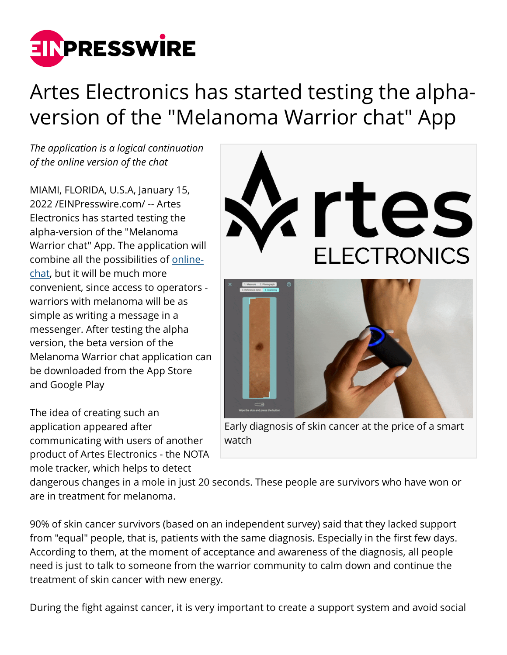

## Artes Electronics has started testing the alphaversion of the "Melanoma Warrior chat" App

*The application is a logical continuation of the online version of the chat*

MIAMI, FLORIDA, U.S.A, January 15, 2022 /[EINPresswire.com](http://www.einpresswire.com)/ -- Artes Electronics has started testing the alpha-version of the "Melanoma Warrior chat" App. The application will combine all the possibilities of [online](https://notamole.com/chat?utm_source=einrelease&utm_medium=chatapp)[chat,](https://notamole.com/chat?utm_source=einrelease&utm_medium=chatapp) but it will be much more convenient, since access to operators warriors with melanoma will be as simple as writing a message in a messenger. After testing the alpha version, the beta version of the Melanoma Warrior chat application can be downloaded from the App Store and Google Play

The idea of creating such an application appeared after communicating with users of another product of Artes Electronics - the NOTA mole tracker, which helps to detect



Early diagnosis of skin cancer at the price of a smart watch

dangerous changes in a mole in just 20 seconds. These people are survivors who have won or are in treatment for melanoma.

90% of skin cancer survivors (based on an independent survey) said that they lacked support from "equal" people, that is, patients with the same diagnosis. Especially in the first few days. According to them, at the moment of acceptance and awareness of the diagnosis, all people need is just to talk to someone from the warrior community to calm down and continue the treatment of skin cancer with new energy.

During the fight against cancer, it is very important to create a support system and avoid social